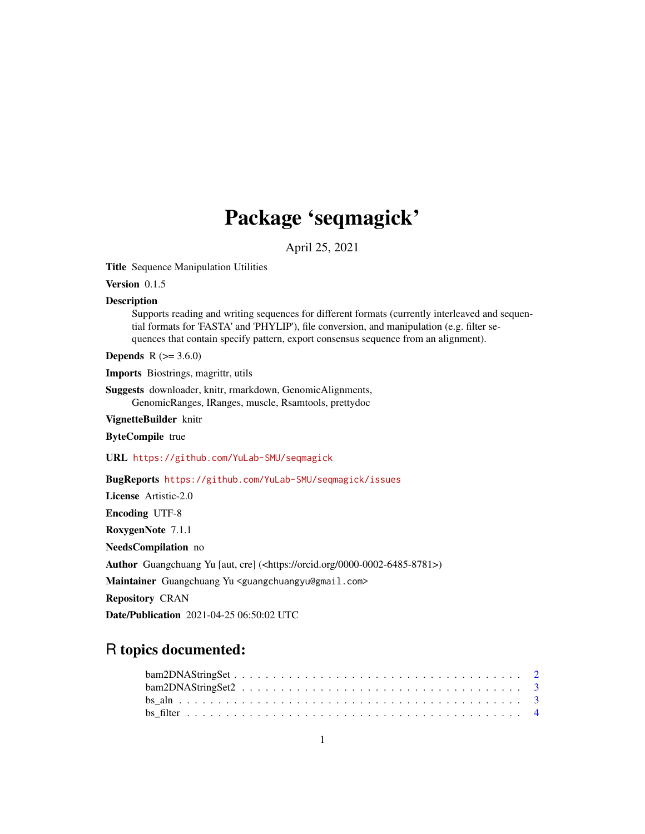# Package 'seqmagick'

April 25, 2021

Title Sequence Manipulation Utilities

Version 0.1.5

#### **Description**

Supports reading and writing sequences for different formats (currently interleaved and sequential formats for 'FASTA' and 'PHYLIP'), file conversion, and manipulation (e.g. filter sequences that contain specify pattern, export consensus sequence from an alignment).

**Depends** R  $(>= 3.6.0)$ 

Imports Biostrings, magrittr, utils

Suggests downloader, knitr, rmarkdown, GenomicAlignments, GenomicRanges, IRanges, muscle, Rsamtools, prettydoc

VignetteBuilder knitr

ByteCompile true

URL <https://github.com/YuLab-SMU/seqmagick>

BugReports <https://github.com/YuLab-SMU/seqmagick/issues>

License Artistic-2.0

Encoding UTF-8

RoxygenNote 7.1.1

NeedsCompilation no

Author Guangchuang Yu [aut, cre] (<https://orcid.org/0000-0002-6485-8781>)

Maintainer Guangchuang Yu <guangchuangyu@gmail.com>

Repository CRAN

Date/Publication 2021-04-25 06:50:02 UTC

# R topics documented:

| $\text{bam2DNAStringSet} \dots \dots \dots \dots \dots \dots \dots \dots \dots \dots \dots \dots \dots \dots \dots \dots \dots$ |  |  |  |  |  |  |  |  |  |  |  |  |  |  |  |  |  |  |
|---------------------------------------------------------------------------------------------------------------------------------|--|--|--|--|--|--|--|--|--|--|--|--|--|--|--|--|--|--|
|                                                                                                                                 |  |  |  |  |  |  |  |  |  |  |  |  |  |  |  |  |  |  |
|                                                                                                                                 |  |  |  |  |  |  |  |  |  |  |  |  |  |  |  |  |  |  |
|                                                                                                                                 |  |  |  |  |  |  |  |  |  |  |  |  |  |  |  |  |  |  |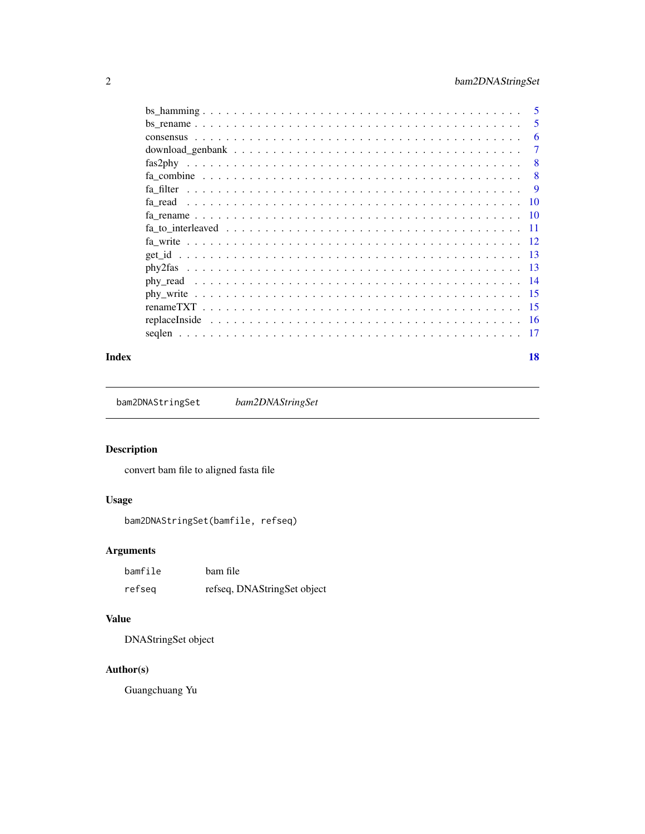## <span id="page-1-0"></span>2 bam2DNAStringSet

|                                                                                                              | -5        |
|--------------------------------------------------------------------------------------------------------------|-----------|
|                                                                                                              | 5         |
|                                                                                                              | 6         |
|                                                                                                              | 7         |
|                                                                                                              | 8         |
|                                                                                                              | 8         |
|                                                                                                              | 9         |
|                                                                                                              | <b>10</b> |
|                                                                                                              | -10       |
|                                                                                                              | -11       |
|                                                                                                              |           |
|                                                                                                              |           |
|                                                                                                              | - 13      |
|                                                                                                              |           |
| $phy\_write \dots \dots \dots \dots \dots \dots \dots \dots \dots \dots \dots \dots \dots \dots \dots \dots$ | - 15      |
|                                                                                                              | - 15      |
|                                                                                                              |           |
|                                                                                                              | 17        |
|                                                                                                              |           |

#### **Index** 2008 **[18](#page-17-0)**

bam2DNAStringSet *bam2DNAStringSet*

## Description

convert bam file to aligned fasta file

## Usage

bam2DNAStringSet(bamfile, refseq)

## Arguments

| bamfile | bam file                    |
|---------|-----------------------------|
| refseg  | refseq, DNAStringSet object |

## Value

DNAStringSet object

## Author(s)

Guangchuang Yu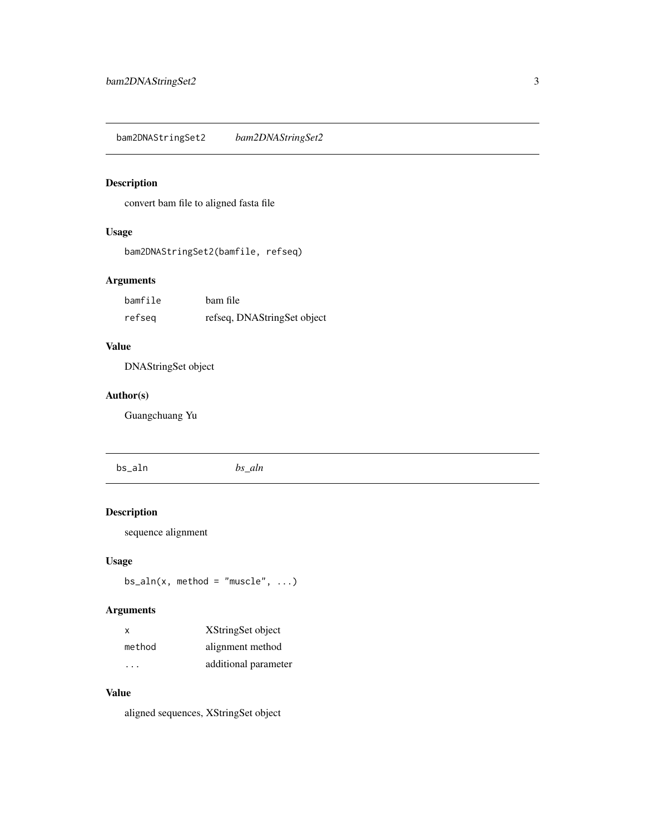<span id="page-2-0"></span>bam2DNAStringSet2 *bam2DNAStringSet2*

## Description

convert bam file to aligned fasta file

## Usage

bam2DNAStringSet2(bamfile, refseq)

#### Arguments

| bamfile | bam file                    |
|---------|-----------------------------|
| refseg  | refseq, DNAStringSet object |

## Value

DNAStringSet object

## Author(s)

Guangchuang Yu

bs\_aln *bs\_aln*

## Description

sequence alignment

#### Usage

 $bs\_aln(x, method = "muscle", ...)$ 

## Arguments

| $\mathsf{x}$ | XStringSet object    |
|--------------|----------------------|
| method       | alignment method     |
| .            | additional parameter |

#### Value

aligned sequences, XStringSet object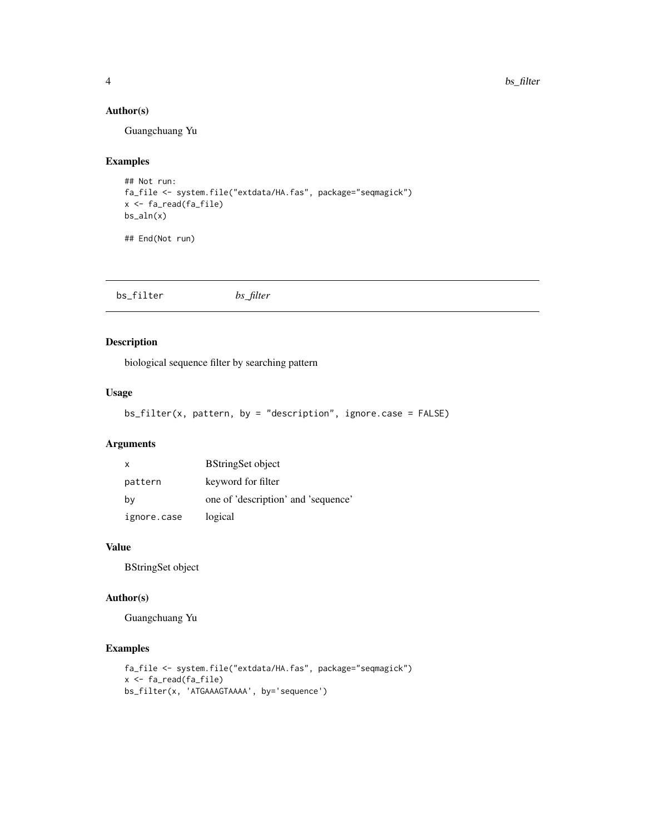#### Author(s)

Guangchuang Yu

#### Examples

```
## Not run:
fa_file <- system.file("extdata/HA.fas", package="seqmagick")
x <- fa_read(fa_file)
bs_aln(x)
```
## End(Not run)

bs\_filter *bs\_filter*

#### Description

biological sequence filter by searching pattern

#### Usage

```
bs_fitter(x, pattern, by = "description", ignore case = FALSE)
```
#### Arguments

| x           | <b>BStringSet object</b>            |
|-------------|-------------------------------------|
| pattern     | keyword for filter                  |
| by          | one of 'description' and 'sequence' |
| ignore.case | logical                             |

#### Value

BStringSet object

#### Author(s)

Guangchuang Yu

#### Examples

```
fa_file <- system.file("extdata/HA.fas", package="seqmagick")
x <- fa_read(fa_file)
bs_filter(x, 'ATGAAAGTAAAA', by='sequence')
```
<span id="page-3-0"></span>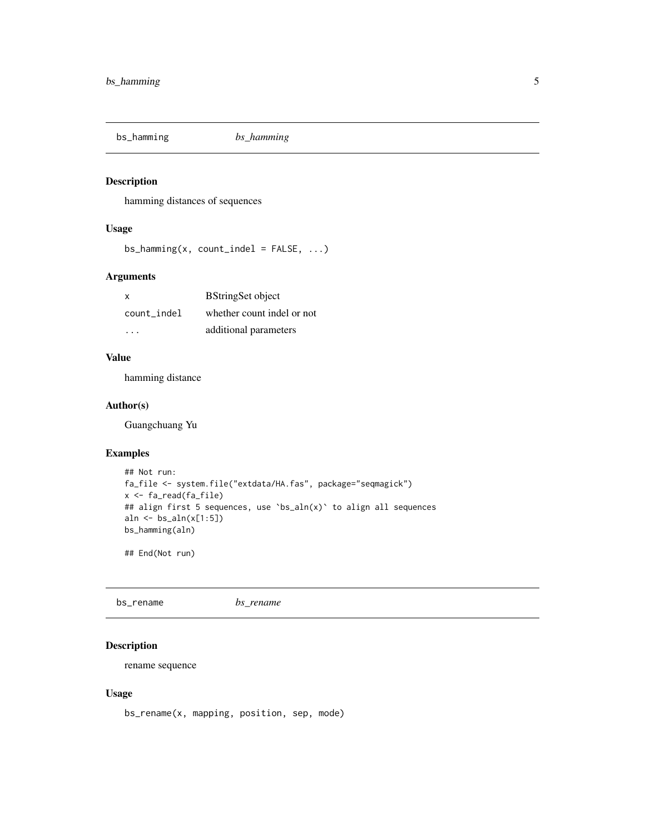<span id="page-4-0"></span>

#### Description

hamming distances of sequences

#### Usage

 $bs_$ -hamming(x, count\_indel = FALSE, ...)

#### Arguments

| x           | <b>BStringSet object</b>   |
|-------------|----------------------------|
| count indel | whether count indel or not |
| .           | additional parameters      |

#### Value

hamming distance

#### Author(s)

Guangchuang Yu

#### Examples

```
## Not run:
fa_file <- system.file("extdata/HA.fas", package="seqmagick")
x <- fa_read(fa_file)
## align first 5 sequences, use `bs_aln(x)` to align all sequences
aln <- bs_aln(x[1:5])
bs_hamming(aln)
## End(Not run)
```
bs\_rename *bs\_rename*

#### Description

rename sequence

#### Usage

bs\_rename(x, mapping, position, sep, mode)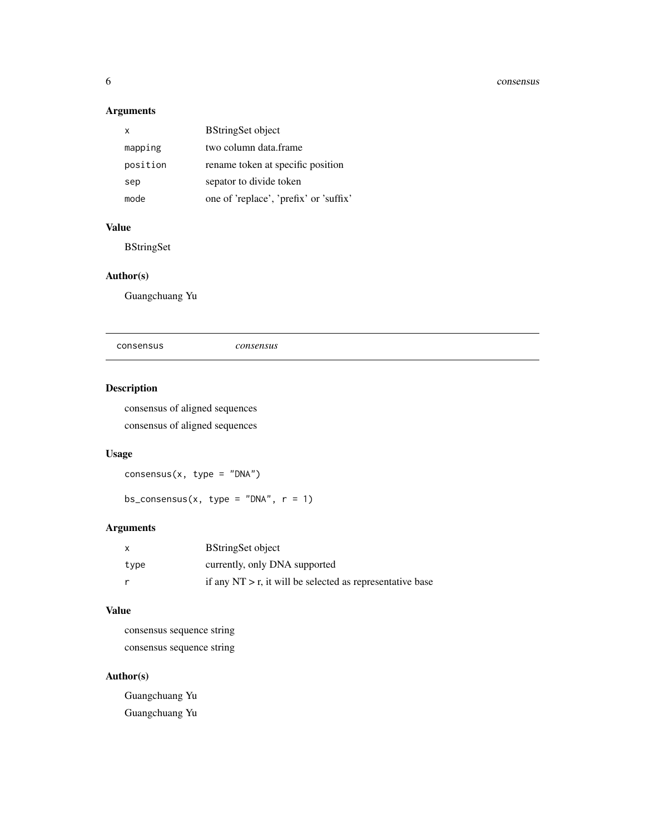#### <span id="page-5-0"></span>6 consensus

## Arguments

| x        | <b>BStringSet object</b>               |
|----------|----------------------------------------|
| mapping  | two column data frame                  |
| position | rename token at specific position      |
| sep      | sepator to divide token                |
| mode     | one of 'replace', 'prefix' or 'suffix' |

## Value

BStringSet

#### Author(s)

Guangchuang Yu

consensus *consensus*

## Description

consensus of aligned sequences consensus of aligned sequences

## Usage

 $consensus(x, type = "DNA")$ 

bs\_consensus(x, type = "DNA",  $r = 1$ )

## Arguments

|      | <b>BStringSet object</b>                                     |
|------|--------------------------------------------------------------|
| type | currently, only DNA supported                                |
|      | if any $NT > r$ , it will be selected as representative base |

## Value

consensus sequence string consensus sequence string

## Author(s)

Guangchuang Yu Guangchuang Yu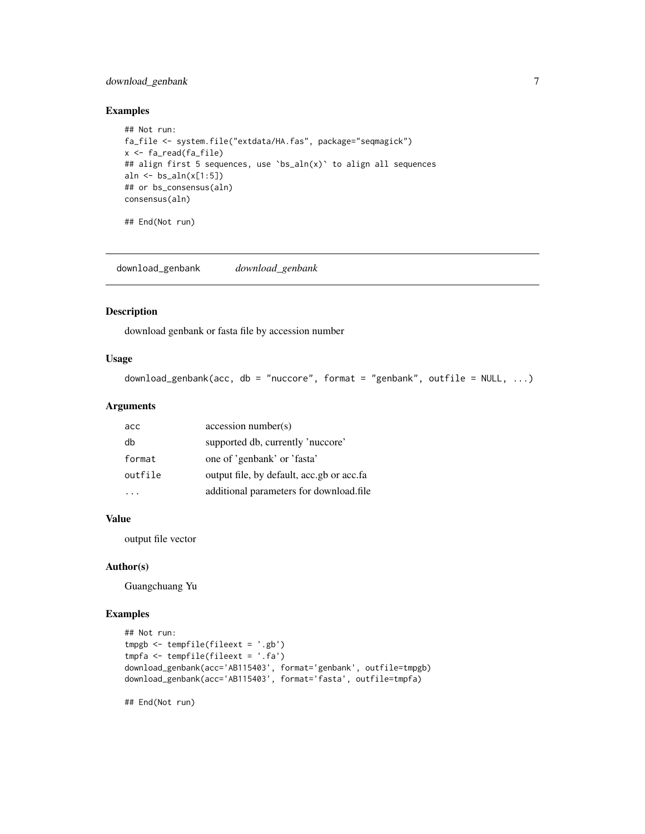#### <span id="page-6-0"></span>download\_genbank 7

#### Examples

```
## Not run:
fa_file <- system.file("extdata/HA.fas", package="seqmagick")
x <- fa_read(fa_file)
## align first 5 sequences, use `bs_aln(x)` to align all sequences
aln \le bs_aln(x[1:5])
## or bs_consensus(aln)
consensus(aln)
```
## End(Not run)

download\_genbank *download\_genbank*

#### Description

download genbank or fasta file by accession number

#### Usage

```
download_genbank(acc, db = "nuccore", format = "genbank", outfile = NULL, ...)
```
#### Arguments

| acc     | accession number(s)                        |
|---------|--------------------------------------------|
| db      | supported db, currently 'nuccore'          |
| format  | one of 'genbank' or 'fasta'                |
| outfile | output file, by default, acc.gb or acc.fa. |
|         | additional parameters for download.file    |

#### Value

output file vector

#### Author(s)

Guangchuang Yu

#### Examples

```
## Not run:
tmpgb <- tempfile(fileext = '.gb')
tmpfa <- tempfile(fileext = '.fa')
download_genbank(acc='AB115403', format='genbank', outfile=tmpgb)
download_genbank(acc='AB115403', format='fasta', outfile=tmpfa)
```
## End(Not run)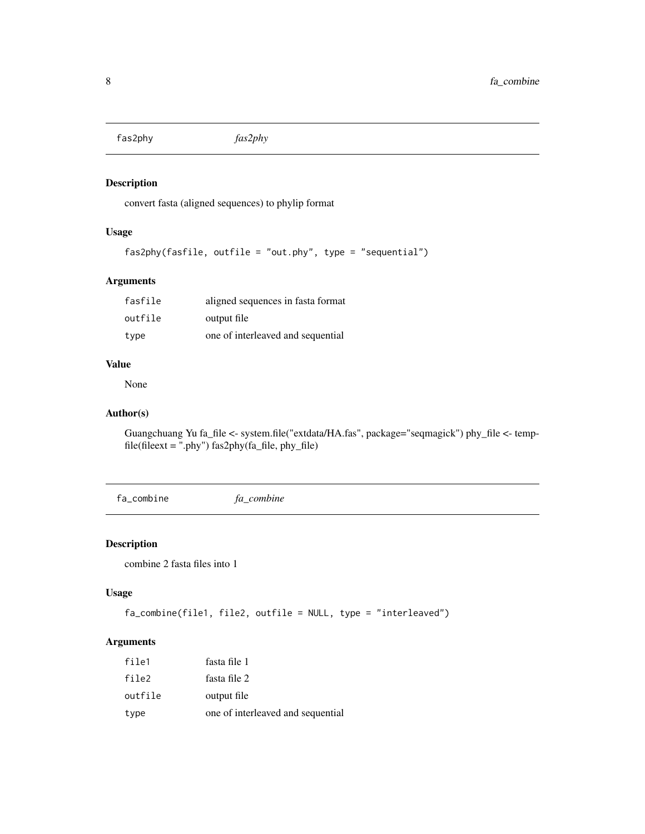<span id="page-7-0"></span>fas2phy *fas2phy*

#### Description

convert fasta (aligned sequences) to phylip format

## Usage

```
fas2phy(fasfile, outfile = "out.phy", type = "sequential")
```
#### Arguments

| fasfile | aligned sequences in fasta format |
|---------|-----------------------------------|
| outfile | output file                       |
| type    | one of interleaved and sequential |

#### Value

None

## Author(s)

Guangchuang Yu fa\_file <- system.file("extdata/HA.fas", package="seqmagick") phy\_file <- tempfile(fileext = ".phy") fas2phy(fa\_file, phy\_file)

fa\_combine *fa\_combine*

#### Description

combine 2 fasta files into 1

#### Usage

```
fa_combine(file1, file2, outfile = NULL, type = "interleaved")
```
#### Arguments

| file1   | fasta file 1                      |
|---------|-----------------------------------|
| file2   | fasta file 2                      |
| outfile | output file                       |
| type    | one of interleaved and sequential |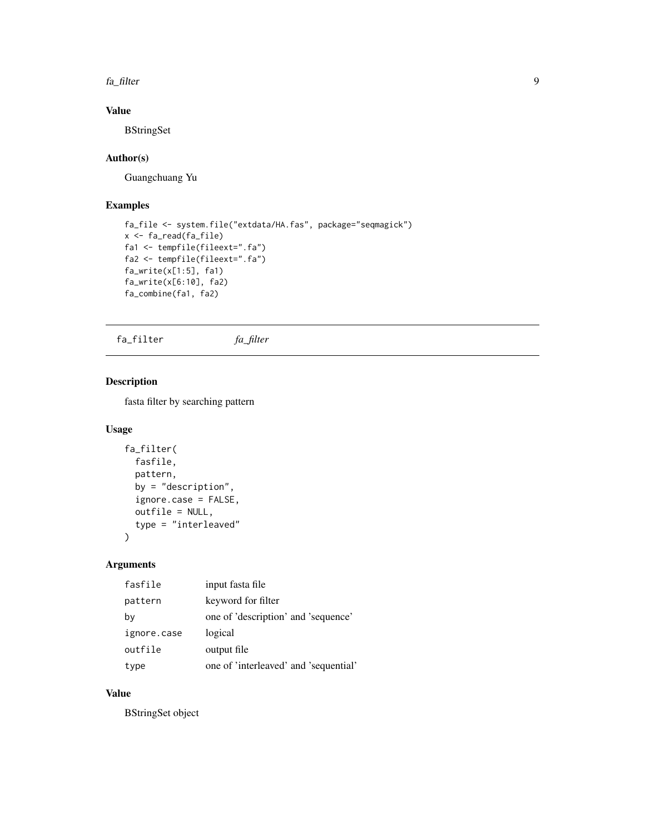<span id="page-8-0"></span>fa\_filter 9

## Value

**BStringSet** 

#### Author(s)

Guangchuang Yu

### Examples

```
fa_file <- system.file("extdata/HA.fas", package="seqmagick")
x <- fa_read(fa_file)
fa1 <- tempfile(fileext=".fa")
fa2 <- tempfile(fileext=".fa")
fa_write(x[1:5], fa1)
fa_write(x[6:10], fa2)
fa_combine(fa1, fa2)
```
fa\_filter *fa\_filter*

## Description

fasta filter by searching pattern

#### Usage

```
fa_filter(
  fasfile,
 pattern,
 by = "description",
  ignore.case = FALSE,
 outfile = NULL,
  type = "interleaved"
)
```
#### Arguments

| fasfile     | input fasta file                      |
|-------------|---------------------------------------|
| pattern     | keyword for filter                    |
| by          | one of 'description' and 'sequence'   |
| ignore.case | logical                               |
| outfile     | output file                           |
| type        | one of 'interleaved' and 'sequential' |

#### Value

BStringSet object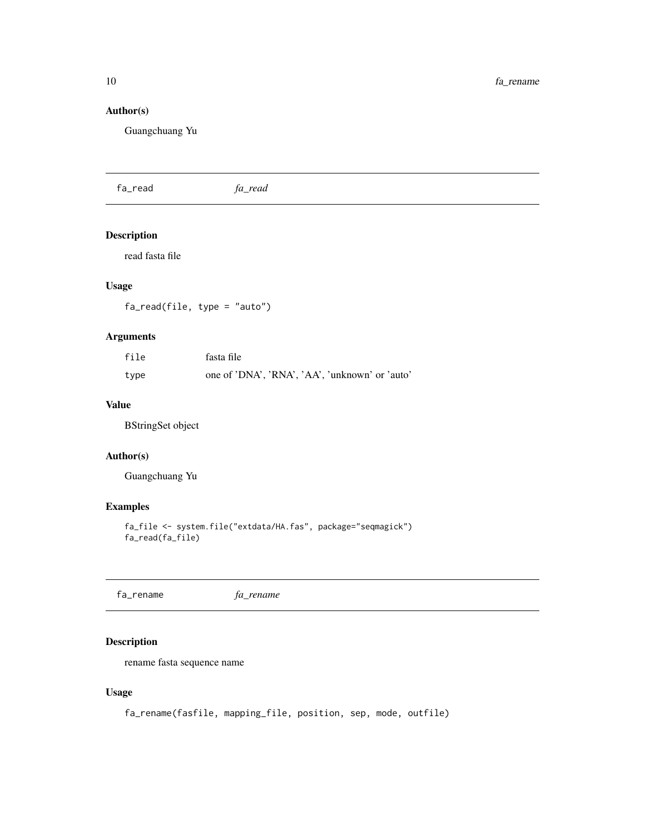## <span id="page-9-0"></span>Author(s)

Guangchuang Yu

fa\_read *fa\_read*

## Description

read fasta file

#### Usage

fa\_read(file, type = "auto")

#### Arguments

| file | fasta file                                     |
|------|------------------------------------------------|
| type | one of 'DNA', 'RNA', 'AA', 'unknown' or 'auto' |

#### Value

BStringSet object

#### Author(s)

Guangchuang Yu

#### Examples

```
fa_file <- system.file("extdata/HA.fas", package="seqmagick")
fa_read(fa_file)
```
fa\_rename *fa\_rename*

#### Description

rename fasta sequence name

#### Usage

fa\_rename(fasfile, mapping\_file, position, sep, mode, outfile)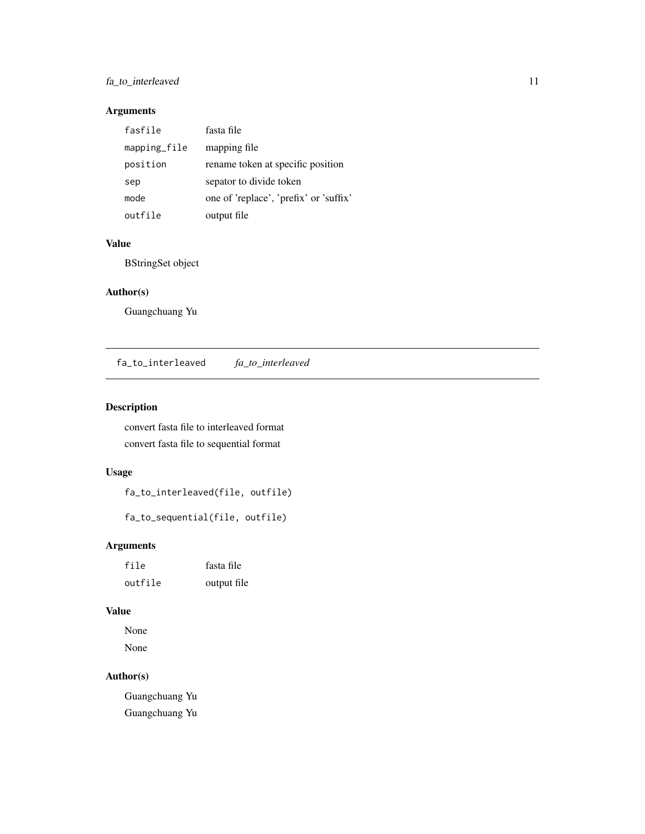#### <span id="page-10-0"></span>fa\_to\_interleaved 11

## Arguments

| fasfile      | fasta file                             |
|--------------|----------------------------------------|
| mapping_file | mapping file                           |
| position     | rename token at specific position      |
| sep          | sepator to divide token                |
| mode         | one of 'replace', 'prefix' or 'suffix' |
| outfile      | output file                            |

#### Value

BStringSet object

#### Author(s)

Guangchuang Yu

fa\_to\_interleaved *fa\_to\_interleaved*

#### Description

convert fasta file to interleaved format convert fasta file to sequential format

### Usage

fa\_to\_interleaved(file, outfile)

fa\_to\_sequential(file, outfile)

## Arguments

| file    | fasta file  |
|---------|-------------|
| outfile | output file |

## Value

None None

#### Author(s)

Guangchuang Yu Guangchuang Yu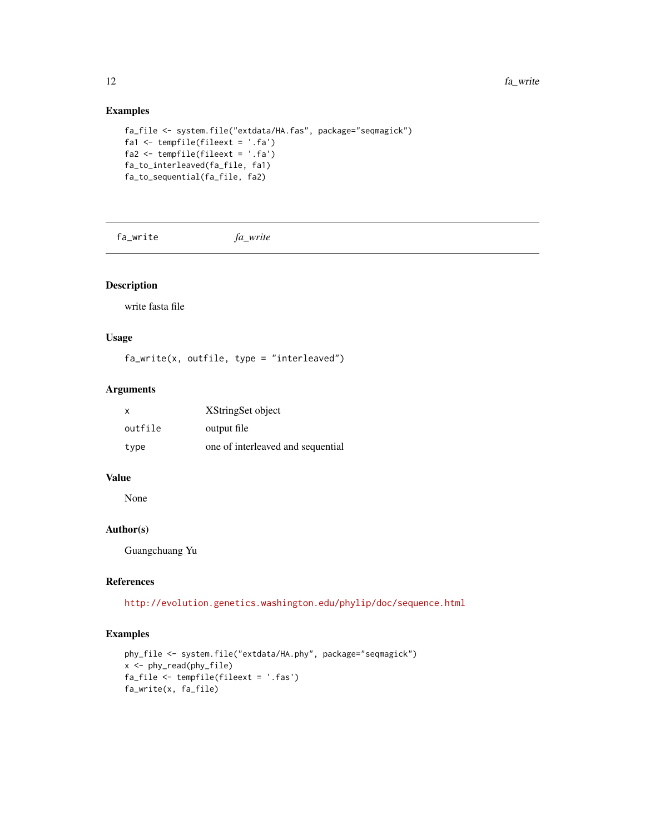#### Examples

```
fa_file <- system.file("extdata/HA.fas", package="seqmagick")
fa1 <- tempfile(fileext = '.fa')
fa2 <- tempfile(fileext = '.fa')
fa_to_interleaved(fa_file, fa1)
fa_to_sequential(fa_file, fa2)
```
fa\_write *fa\_write*

#### Description

write fasta file

#### Usage

fa\_write(x, outfile, type = "interleaved")

#### Arguments

| $\mathsf{x}$ | XStringSet object                 |
|--------------|-----------------------------------|
| outfile      | output file                       |
| type         | one of interleaved and sequential |

#### Value

None

## Author(s)

Guangchuang Yu

## References

<http://evolution.genetics.washington.edu/phylip/doc/sequence.html>

#### Examples

```
phy_file <- system.file("extdata/HA.phy", package="seqmagick")
x <- phy_read(phy_file)
fa_file <- tempfile(fileext = '.fas')
fa_write(x, fa_file)
```
<span id="page-11-0"></span>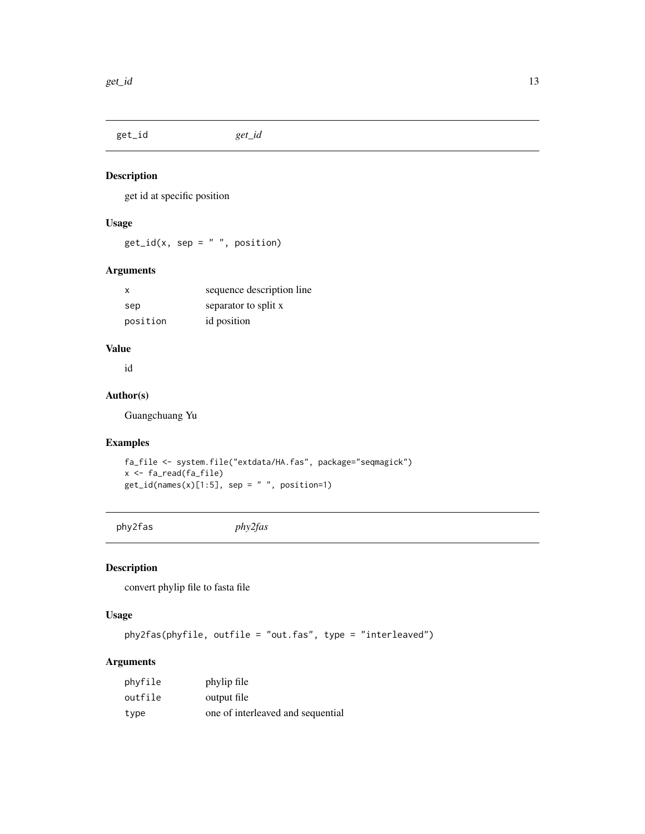<span id="page-12-0"></span>get\_id *get\_id*

#### Description

get id at specific position

#### Usage

 $get_id(x, sep = " " , position)$ 

#### Arguments

| х        | sequence description line |
|----------|---------------------------|
| sep      | separator to split x      |
| position | id position               |

## Value

id

#### Author(s)

Guangchuang Yu

#### Examples

fa\_file <- system.file("extdata/HA.fas", package="seqmagick") x <- fa\_read(fa\_file)  $get_id(name(x)[1:5], sep = " " , position=1)$ 

```
phy2fas phy2fas
```
## Description

convert phylip file to fasta file

#### Usage

phy2fas(phyfile, outfile = "out.fas", type = "interleaved")

## Arguments

| phyfile | phylip file                       |
|---------|-----------------------------------|
| outfile | output file                       |
| type    | one of interleaved and sequential |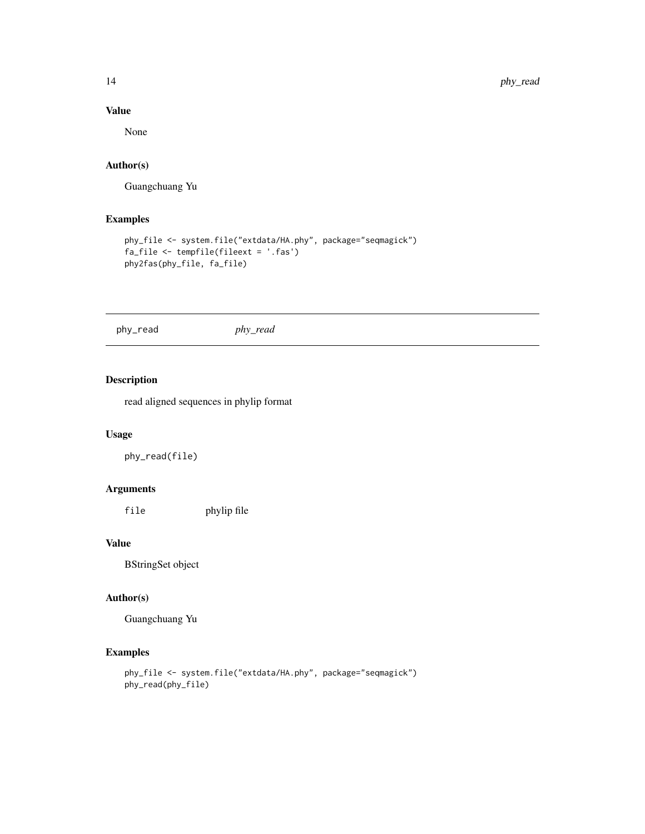#### Value

None

#### Author(s)

Guangchuang Yu

#### Examples

```
phy_file <- system.file("extdata/HA.phy", package="seqmagick")
fa_file <- tempfile(fileext = '.fas')
phy2fas(phy_file, fa_file)
```
phy\_read *phy\_read*

#### Description

read aligned sequences in phylip format

#### Usage

phy\_read(file)

#### Arguments

file phylip file

#### Value

BStringSet object

#### Author(s)

Guangchuang Yu

#### Examples

```
phy_file <- system.file("extdata/HA.phy", package="seqmagick")
phy_read(phy_file)
```
<span id="page-13-0"></span>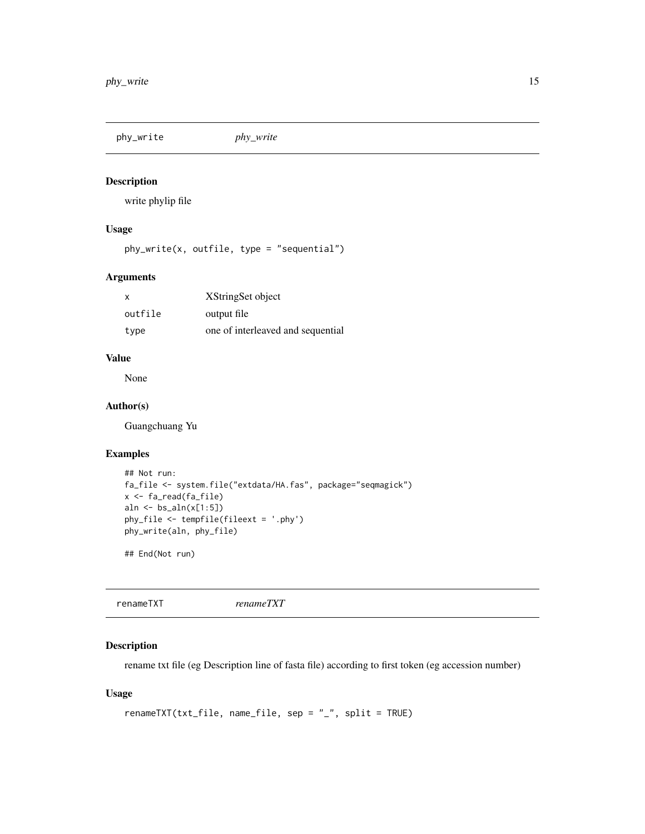<span id="page-14-0"></span>phy\_write *phy\_write*

#### Description

write phylip file

## Usage

phy\_write(x, outfile, type = "sequential")

#### Arguments

| $\boldsymbol{\mathsf{x}}$ | XStringSet object                 |
|---------------------------|-----------------------------------|
| outfile                   | output file                       |
| type                      | one of interleaved and sequential |

#### Value

None

#### Author(s)

Guangchuang Yu

#### Examples

```
## Not run:
fa_file <- system.file("extdata/HA.fas", package="seqmagick")
x <- fa_read(fa_file)
aln \leftarrow bs_aln(x[1:5])
phy_file <- tempfile(fileext = '.phy')
phy_write(aln, phy_file)
```
## End(Not run)

renameTXT *renameTXT*

#### Description

rename txt file (eg Description line of fasta file) according to first token (eg accession number)

#### Usage

```
renameTXT(txt_file, name_file, sep = "_", split = TRUE)
```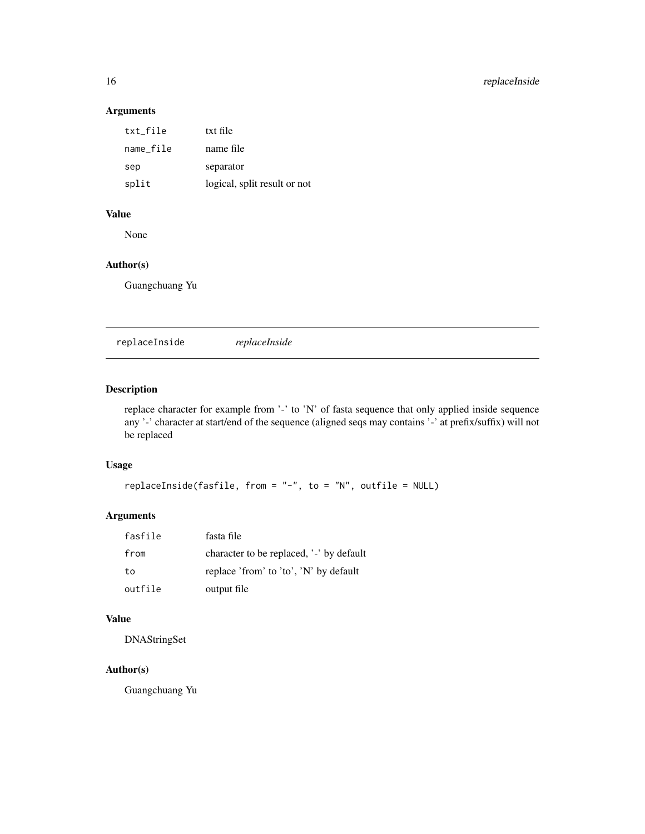#### Arguments

| txt_file  | txt file                     |
|-----------|------------------------------|
| name_file | name file                    |
| sep       | separator                    |
| split     | logical, split result or not |

#### Value

None

#### Author(s)

Guangchuang Yu

replaceInside *replaceInside*

## Description

replace character for example from '-' to 'N' of fasta sequence that only applied inside sequence any '-' character at start/end of the sequence (aligned seqs may contains '-' at prefix/suffix) will not be replaced

#### Usage

```
replaceInside(fasfile, from = "-", to = "N", outfile = NULL)
```
## Arguments

| fasfile | fasta file                               |
|---------|------------------------------------------|
| from    | character to be replaced, '-' by default |
| to      | replace 'from' to 'to', 'N' by default   |
| outfile | output file                              |

#### Value

DNAStringSet

#### Author(s)

Guangchuang Yu

<span id="page-15-0"></span>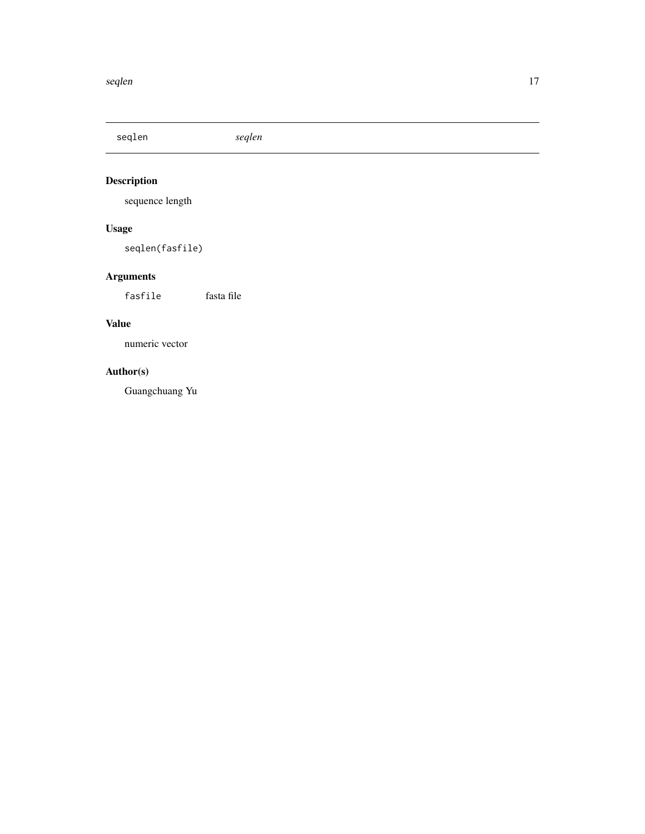<span id="page-16-0"></span>seqlen *seqlen*

## Description

sequence length

## Usage

seqlen(fasfile)

## Arguments

fasfile fasta file

## Value

numeric vector

## Author(s)

Guangchuang Yu